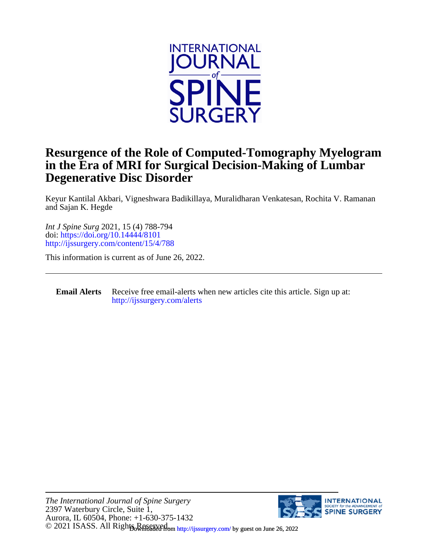

## **Degenerative Disc Disorder in the Era of MRI for Surgical Decision-Making of Lumbar Resurgence of the Role of Computed-Tomography Myelogram**

and Sajan K. Hegde Keyur Kantilal Akbari, Vigneshwara Badikillaya, Muralidharan Venkatesan, Rochita V. Ramanan

<http://ijssurgery.com/content/15/4/788> doi:<https://doi.org/10.14444/8101> *Int J Spine Surg* 2021, 15 (4) 788-794

This information is current as of June 26, 2022.

#### **Email Alerts** [http://ijssurgery.com/alerts](http://jpm.iijournals.com/alerts) Receive free email-alerts when new articles cite this article. Sign up at:

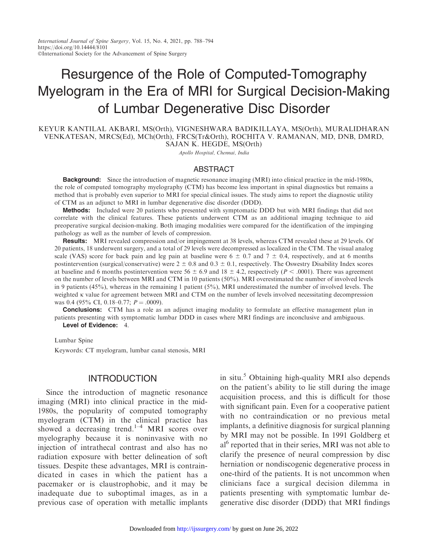# Resurgence of the Role of Computed-Tomography Myelogram in the Era of MRI for Surgical Decision-Making of Lumbar Degenerative Disc Disorder

KEYUR KANTILAL AKBARI, MS(Orth), VIGNESHWARA BADIKILLAYA, MS(Orth), MURALIDHARAN VENKATESAN, MRCS(Ed), MCh(Orth), FRCS(Tr&Orth), ROCHITA V. RAMANAN, MD, DNB, DMRD, SAJAN K. HEGDE, MS(Orth)

Apollo Hospital, Chennai, India

#### ABSTRACT

**Background:** Since the introduction of magnetic resonance imaging (MRI) into clinical practice in the mid-1980s, the role of computed tomography myelography (CTM) has become less important in spinal diagnostics but remains a method that is probably even superior to MRI for special clinical issues. The study aims to report the diagnostic utility of CTM as an adjunct to MRI in lumbar degenerative disc disorder (DDD).

**Methods:** Included were 20 patients who presented with symptomatic DDD but with MRI findings that did not correlate with the clinical features. These patients underwent CTM as an additional imaging technique to aid preoperative surgical decision-making. Both imaging modalities were compared for the identification of the impinging pathology as well as the number of levels of compression.

Results: MRI revealed compression and/or impingement at 38 levels, whereas CTM revealed these at 29 levels. Of 20 patients, 18 underwent surgery, and a total of 29 levels were decompressed as localized in the CTM. The visual analog scale (VAS) score for back pain and leg pain at baseline were  $6 \pm 0.7$  and  $7 \pm 0.4$ , respectively, and at 6 months postintervention (surgical/conservative) were  $2 \pm 0.8$  and  $0.3 \pm 0.1$ , respectively. The Oswestry Disability Index scores at baseline and 6 months postintervention were  $56 \pm 6.9$  and  $18 \pm 4.2$ , respectively ( $P < .0001$ ). There was agreement on the number of levels between MRI and CTM in 10 patients (50%). MRI overestimated the number of involved levels in 9 patients (45%), whereas in the remaining 1 patient (5%), MRI underestimated the number of involved levels. The weighted K value for agreement between MRI and CTM on the number of levels involved necessitating decompression was 0.4 (95% CI, 0.18–0.77;  $P = .0009$ ).

**Conclusions:** CTM has a role as an adjunct imaging modality to formulate an effective management plan in patients presenting with symptomatic lumbar DDD in cases where MRI findings are inconclusive and ambiguous. Level of Evidence: 4.

Lumbar Spine Keywords: CT myelogram, lumbar canal stenosis, MRI

#### **INTRODUCTION**

Since the introduction of magnetic resonance imaging (MRI) into clinical practice in the mid-1980s, the popularity of computed tomography myelogram (CTM) in the clinical practice has showed a decreasing trend.<sup>1-4</sup> MRI scores over myelography because it is noninvasive with no injection of intrathecal contrast and also has no radiation exposure with better delineation of soft tissues. Despite these advantages, MRI is contraindicated in cases in which the patient has a pacemaker or is claustrophobic, and it may be inadequate due to suboptimal images, as in a previous case of operation with metallic implants

in situ.<sup>5</sup> Obtaining high-quality MRI also depends on the patient's ability to lie still during the image acquisition process, and this is difficult for those with significant pain. Even for a cooperative patient with no contraindication or no previous metal implants, a definitive diagnosis for surgical planning by MRI may not be possible. In 1991 Goldberg et al<sup>6</sup> reported that in their series, MRI was not able to clarify the presence of neural compression by disc herniation or nondiscogenic degenerative process in one-third of the patients. It is not uncommon when clinicians face a surgical decision dilemma in patients presenting with symptomatic lumbar degenerative disc disorder (DDD) that MRI findings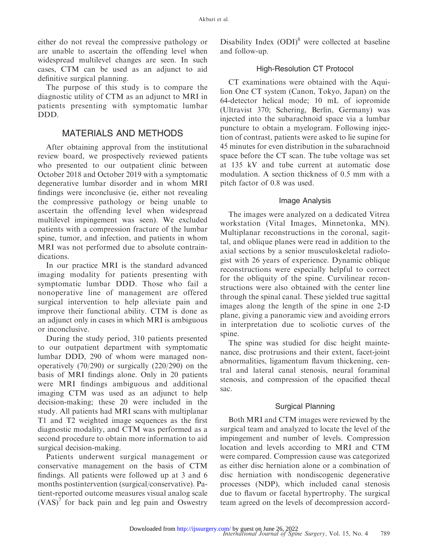either do not reveal the compressive pathology or are unable to ascertain the offending level when widespread multilevel changes are seen. In such cases, CTM can be used as an adjunct to aid definitive surgical planning.

The purpose of this study is to compare the diagnostic utility of CTM as an adjunct to MRI in patients presenting with symptomatic lumbar DDD.

#### MATERIALS AND METHODS

After obtaining approval from the institutional review board, we prospectively reviewed patients who presented to our outpatient clinic between October 2018 and October 2019 with a symptomatic degenerative lumbar disorder and in whom MRI findings were inconclusive (ie, either not revealing the compressive pathology or being unable to ascertain the offending level when widespread multilevel impingement was seen). We excluded patients with a compression fracture of the lumbar spine, tumor, and infection, and patients in whom MRI was not performed due to absolute contraindications.

In our practice MRI is the standard advanced imaging modality for patients presenting with symptomatic lumbar DDD. Those who fail a nonoperative line of management are offered surgical intervention to help alleviate pain and improve their functional ability. CTM is done as an adjunct only in cases in which MRI is ambiguous or inconclusive.

During the study period, 310 patients presented to our outpatient department with symptomatic lumbar DDD, 290 of whom were managed nonoperatively (70/290) or surgically (220/290) on the basis of MRI findings alone. Only in 20 patients were MRI findings ambiguous and additional imaging CTM was used as an adjunct to help decision-making; these 20 were included in the study. All patients had MRI scans with multiplanar T1 and T2 weighted image sequences as the first diagnostic modality, and CTM was performed as a second procedure to obtain more information to aid surgical decision-making.

Patients underwent surgical management or conservative management on the basis of CTM findings. All patients were followed up at 3 and 6 months postintervention (surgical/conservative). Patient-reported outcome measures visual analog scale  $(VAS)^7$  for back pain and leg pain and Oswestry Disability Index  $(DDI)^8$  were collected at baseline and follow-up.

#### High-Resolution CT Protocol

CT examinations were obtained with the Aquilion One CT system (Canon, Tokyo, Japan) on the 64-detector helical mode; 10 mL of iopromide (Ultravist 370; Schering, Berlin, Germany) was injected into the subarachnoid space via a lumbar puncture to obtain a myelogram. Following injection of contrast, patients were asked to lie supine for 45 minutes for even distribution in the subarachnoid space before the CT scan. The tube voltage was set at 135 kV and tube current at automatic dose modulation. A section thickness of 0.5 mm with a pitch factor of 0.8 was used.

#### Image Analysis

The images were analyzed on a dedicated Vitrea workstation (Vital Images, Minnetonka, MN). Multiplanar reconstructions in the coronal, sagittal, and oblique planes were read in addition to the axial sections by a senior musculoskeletal radiologist with 26 years of experience. Dynamic oblique reconstructions were especially helpful to correct for the obliquity of the spine. Curvilinear reconstructions were also obtained with the center line through the spinal canal. These yielded true sagittal images along the length of the spine in one 2-D plane, giving a panoramic view and avoiding errors in interpretation due to scoliotic curves of the spine.

The spine was studied for disc height maintenance, disc protrusions and their extent, facet-joint abnormalities, ligamentum flavum thickening, central and lateral canal stenosis, neural foraminal stenosis, and compression of the opacified thecal sac.

#### Surgical Planning

Both MRI and CTM images were reviewed by the surgical team and analyzed to locate the level of the impingement and number of levels. Compression location and levels according to MRI and CTM were compared. Compression cause was categorized as either disc herniation alone or a combination of disc herniation with nondiscogenic degenerative processes (NDP), which included canal stenosis due to flavum or facetal hypertrophy. The surgical team agreed on the levels of decompression accord-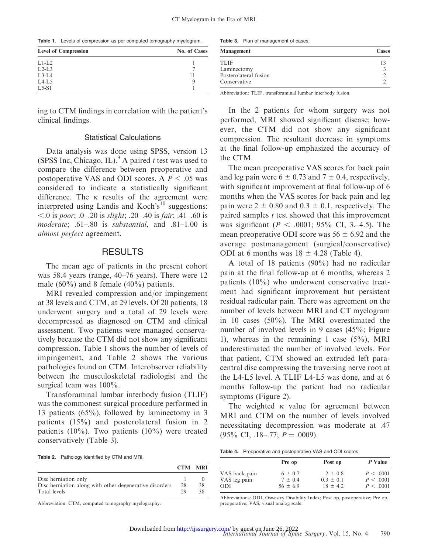Table 1. Levels of compression as per computed tomography myelogram.

| <b>Level of Compression</b> | No. of Cases |
|-----------------------------|--------------|
| $L1-I.2$                    |              |
| $L2-L3$                     |              |
| $L3-L4$                     | 11           |
| $L4-L5$                     |              |
| $L5-S1$                     |              |

Table 3. Plan of management of cases.

| <b>Management</b>                     | <b>Cases</b> |
|---------------------------------------|--------------|
| TLIF                                  |              |
| Laminectomy                           |              |
| Posterolateral fusion<br>Conservative |              |

Abbreviation: TLIF, transforaminal lumbar interbody fusion.

ing to CTM findings in correlation with the patient's clinical findings.

#### Statistical Calculations

Data analysis was done using SPSS, version 13 (SPSS Inc, Chicago, IL).<sup>9</sup> A paired t test was used to compare the difference between preoperative and postoperative VAS and ODI scores. A  $P \leq .05$  was considered to indicate a statistically significant difference. The  $\kappa$  results of the agreement were interpreted using Landis and Koch's<sup>10</sup> suggestions:  $<$ .0 is poor; .0–.20 is slight; .20–.40 is fair; .41–.60 is moderate; .61–.80 is substantial, and .81–1.00 is almost perfect agreement.

#### **RESULTS**

The mean age of patients in the present cohort was 58.4 years (range, 40–76 years). There were 12 male  $(60\%)$  and 8 female  $(40\%)$  patients.

MRI revealed compression and/or impingement at 38 levels and CTM, at 29 levels. Of 20 patients, 18 underwent surgery and a total of 29 levels were decompressed as diagnosed on CTM and clinical assessment. Two patients were managed conservatively because the CTM did not show any significant compression. Table 1 shows the number of levels of impingement, and Table 2 shows the various pathologies found on CTM. Interobserver reliability between the musculoskeletal radiologist and the surgical team was 100%.

Transforaminal lumbar interbody fusion (TLIF) was the commonest surgical procedure performed in 13 patients (65%), followed by laminectomy in 3 patients (15%) and posterolateral fusion in 2 patients (10%). Two patients (10%) were treated conservatively (Table 3).

Table 2. Pathology identified by CTM and MRI.

|                                                         | <b>CTM MRI</b> |    |
|---------------------------------------------------------|----------------|----|
| Disc herniation only                                    |                |    |
| Disc hermiation along with other degenerative disorders | 28             | 38 |
| Total levels                                            | 29             | 38 |

Abbreviation: CTM, computed tomography myelography.

In the 2 patients for whom surgery was not performed, MRI showed significant disease; however, the CTM did not show any significant compression. The resultant decrease in symptoms at the final follow-up emphasized the accuracy of the CTM.

The mean preoperative VAS scores for back pain and leg pain were  $6 \pm 0.73$  and  $7 \pm 0.4$ , respectively, with significant improvement at final follow-up of 6 months when the VAS scores for back pain and leg pain were  $2 \pm 0.80$  and  $0.3 \pm 0.1$ , respectively. The paired samples  $t$  test showed that this improvement was significant ( $P < .0001$ ; 95% CI, 3.–4.5). The mean preoperative ODI score was  $56 \pm 6.92$  and the average postmanagement (surgical/conservative) ODI at 6 months was  $18 \pm 4.28$  (Table 4).

A total of 18 patients (90%) had no radicular pain at the final follow-up at 6 months, whereas 2 patients (10%) who underwent conservative treatment had significant improvement but persistent residual radicular pain. There was agreement on the number of levels between MRI and CT myelogram in 10 cases (50%). The MRI overestimated the number of involved levels in 9 cases (45%; Figure 1), whereas in the remaining 1 case (5%), MRI underestimated the number of involved levels. For that patient, CTM showed an extruded left paracentral disc compressing the traversing nerve root at the L4-L5 level. A TLIF L4-L5 was done, and at 6 months follow-up the patient had no radicular symptoms (Figure 2).

The weighted  $\kappa$  value for agreement between MRI and CTM on the number of levels involved necessitating decompression was moderate at .47  $(95\% \text{ CI}, .18-.77; P=.0009).$ 

Table 4. Preoperative and postoperative VAS and ODI scores.

|               | Pre op       | Post op       | P Value   |
|---------------|--------------|---------------|-----------|
| VAS back pain | $6 \pm 0.7$  | $2 \pm 0.8$   | P < .0001 |
| VAS leg pain  | $7 + 04$     | $0.3 \pm 0.1$ | P < .0001 |
| <b>ODI</b>    | $56 \pm 6.9$ | $18 + 42$     | P < .0001 |

Abbreviations: ODI, Oswestry Disability Index; Post op, postoperative; Pre op, preoperative; VAS, visual analog scale.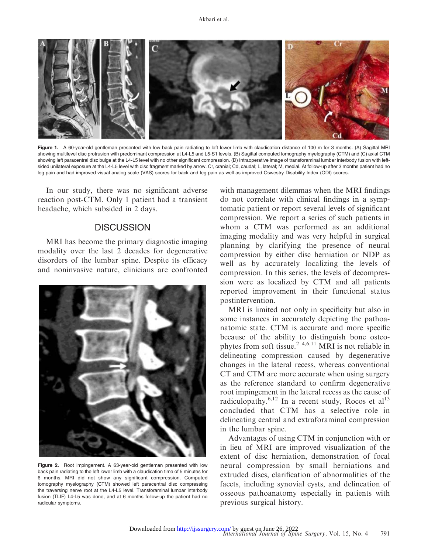

Figure 1. A 60-year-old gentleman presented with low back pain radiating to left lower limb with claudication distance of 100 m for 3 months. (A) Sagittal MRI showing multilevel disc protrusion with predominant compression at L4-L5 and L5-S1 levels. (B) Sagittal computed tomography myelography (CTM) and (C) axial CTM showing left paracentral disc bulge at the L4-L5 level with no other significant compression. (D) Intraoperative image of transforaminal lumbar interbody fusion with leftsided unilateral exposure at the L4-L5 level with disc fragment marked by arrow. Cr, cranial; Cd, caudal; L, lateral; M, medial. At follow-up after 3 months patient had no leg pain and had improved visual analog scale (VAS) scores for back and leg pain as well as improved Oswestry Disability Index (ODI) scores.

In our study, there was no significant adverse reaction post-CTM. Only 1 patient had a transient headache, which subsided in 2 days.

### **DISCUSSION**

MRI has become the primary diagnostic imaging modality over the last 2 decades for degenerative disorders of the lumbar spine. Despite its efficacy and noninvasive nature, clinicians are confronted



Figure 2. Root impingement. A 63-year-old gentleman presented with low back pain radiating to the left lower limb with a claudication time of 5 minutes for 6 months. MRI did not show any significant compression. Computed tomography myelography (CTM) showed left paracentral disc compressing the traversing nerve root at the L4-L5 level. Transforaminal lumbar interbody fusion (TLIF) L4-L5 was done, and at 6 months follow-up the patient had no radicular symptoms.

with management dilemmas when the MRI findings do not correlate with clinical findings in a symptomatic patient or report several levels of significant compression. We report a series of such patients in whom a CTM was performed as an additional imaging modality and was very helpful in surgical planning by clarifying the presence of neural compression by either disc herniation or NDP as well as by accurately localizing the levels of compression. In this series, the levels of decompression were as localized by CTM and all patients reported improvement in their functional status postintervention.

MRI is limited not only in specificity but also in some instances in accurately depicting the pathoanatomic state. CTM is accurate and more specific because of the ability to distinguish bone osteophytes from soft tissue. $2-4,6,11$  MRI is not reliable in delineating compression caused by degenerative changes in the lateral recess, whereas conventional CT and CTM are more accurate when using surgery as the reference standard to confirm degenerative root impingement in the lateral recess as the cause of radiculopathy.<sup>6,12</sup> In a recent study, Rocos et al<sup>13</sup> concluded that CTM has a selective role in delineating central and extraforaminal compression in the lumbar spine.

Advantages of using CTM in conjunction with or in lieu of MRI are improved visualization of the extent of disc herniation, demonstration of focal neural compression by small herniations and extruded discs, clarification of abnormalities of the facets, including synovial cysts, and delineation of osseous pathoanatomy especially in patients with previous surgical history.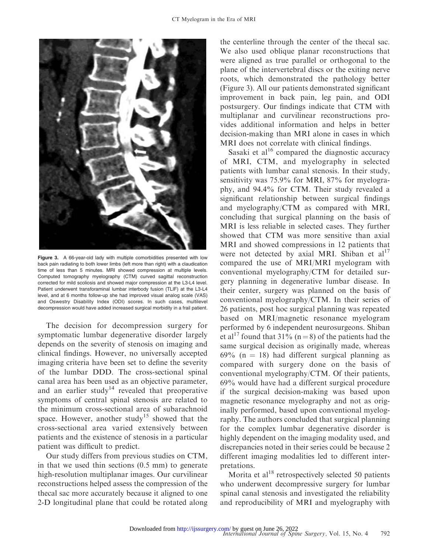

Figure 3. A 66-year-old lady with multiple comorbidities presented with low back pain radiating to both lower limbs (left more than right) with a claudication time of less than 5 minutes. MRI showed compression at multiple levels. Computed tomography myelography (CTM) curved sagittal reconstruction corrected for mild scoliosis and showed major compression at the L3-L4 level. Patient underwent transforaminal lumbar interbody fusion (TLIF) at the L3-L4 level, and at 6 months follow-up she had improved visual analog scale (VAS) and Oswestry Disability Index (ODI) scores. In such cases, multilevel decompression would have added increased surgical morbidity in a frail patient.

The decision for decompression surgery for symptomatic lumbar degenerative disorder largely depends on the severity of stenosis on imaging and clinical findings. However, no universally accepted imaging criteria have been set to define the severity of the lumbar DDD. The cross-sectional spinal canal area has been used as an objective parameter, and an earlier study<sup>14</sup> revealed that preoperative symptoms of central spinal stenosis are related to the minimum cross-sectional area of subarachnoid space. However, another study<sup>15</sup> showed that the cross-sectional area varied extensively between patients and the existence of stenosis in a particular patient was difficult to predict.

Our study differs from previous studies on CTM, in that we used thin sections (0.5 mm) to generate high-resolution multiplanar images. Our curvilinear reconstructions helped assess the compression of the thecal sac more accurately because it aligned to one 2-D longitudinal plane that could be rotated along

the centerline through the center of the thecal sac. We also used oblique planar reconstructions that were aligned as true parallel or orthogonal to the plane of the intervertebral discs or the exiting nerve roots, which demonstrated the pathology better (Figure 3). All our patients demonstrated significant improvement in back pain, leg pain, and ODI postsurgery. Our findings indicate that CTM with multiplanar and curvilinear reconstructions provides additional information and helps in better decision-making than MRI alone in cases in which MRI does not correlate with clinical findings.

Sasaki et  $al^{16}$  compared the diagnostic accuracy of MRI, CTM, and myelography in selected patients with lumbar canal stenosis. In their study, sensitivity was 75.9% for MRI, 87% for myelography, and 94.4% for CTM. Their study revealed a significant relationship between surgical findings and myelography/CTM as compared with MRI, concluding that surgical planning on the basis of MRI is less reliable in selected cases. They further showed that CTM was more sensitive than axial MRI and showed compressions in 12 patients that were not detected by axial MRI. Shiban et  $al<sup>17</sup>$ compared the use of MRI/MRI myelogram with conventional myelography/CTM for detailed surgery planning in degenerative lumbar disease. In their center, surgery was planned on the basis of conventional myelography/CTM. In their series of 26 patients, post hoc surgical planning was repeated based on MRI/magnetic resonance myelogram performed by 6 independent neurosurgeons. Shiban et al<sup>17</sup> found that 31% (n = 8) of the patients had the same surgical decision as originally made, whereas  $69\%$  (n = 18) had different surgical planning as compared with surgery done on the basis of conventional myelography/CTM. Of their patients, 69% would have had a different surgical procedure if the surgical decision-making was based upon magnetic resonance myelography and not as originally performed, based upon conventional myelography. The authors concluded that surgical planning for the complex lumbar degenerative disorder is highly dependent on the imaging modality used, and discrepancies noted in their series could be because 2 different imaging modalities led to different interpretations.

Morita et  $al^{18}$  retrospectively selected 50 patients who underwent decompressive surgery for lumbar spinal canal stenosis and investigated the reliability and reproducibility of MRI and myelography with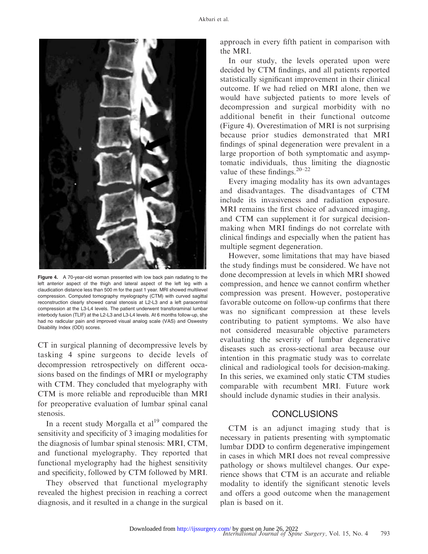

Figure 4. A 70-year-old woman presented with low back pain radiating to the left anterior aspect of the thigh and lateral aspect of the left leg with a claudication distance less than 500 m for the past 1 year. MRI showed multilevel compression. Computed tomography myelography (CTM) with curved sagittal reconstruction clearly showed canal stenosis at L2-L3 and a left paracentral compression at the L3-L4 levels. The patient underwent transforaminal lumbar interbody fusion (TLIF) at the L2-L3 and L3-L4 levels. At 6 months follow-up, she had no radicular pain and improved visual analog scale (VAS) and Oswestry Disability Index (ODI) scores.

CT in surgical planning of decompressive levels by tasking 4 spine surgeons to decide levels of decompression retrospectively on different occasions based on the findings of MRI or myelography with CTM. They concluded that myelography with CTM is more reliable and reproducible than MRI for preoperative evaluation of lumbar spinal canal stenosis.

In a recent study Morgalla et al<sup>19</sup> compared the sensitivity and specificity of 3 imaging modalities for the diagnosis of lumbar spinal stenosis: MRI, CTM, and functional myelography. They reported that functional myelography had the highest sensitivity and specificity, followed by CTM followed by MRI.

They observed that functional myelography revealed the highest precision in reaching a correct diagnosis, and it resulted in a change in the surgical approach in every fifth patient in comparison with the MRI.

In our study, the levels operated upon were decided by CTM findings, and all patients reported statistically significant improvement in their clinical outcome. If we had relied on MRI alone, then we would have subjected patients to more levels of decompression and surgical morbidity with no additional benefit in their functional outcome (Figure 4). Overestimation of MRI is not surprising because prior studies demonstrated that MRI findings of spinal degeneration were prevalent in a large proportion of both symptomatic and asymptomatic individuals, thus limiting the diagnostic value of these findings.20–22

Every imaging modality has its own advantages and disadvantages. The disadvantages of CTM include its invasiveness and radiation exposure. MRI remains the first choice of advanced imaging, and CTM can supplement it for surgical decisionmaking when MRI findings do not correlate with clinical findings and especially when the patient has multiple segment degeneration.

However, some limitations that may have biased the study findings must be considered. We have not done decompression at levels in which MRI showed compression, and hence we cannot confirm whether compression was present. However, postoperative favorable outcome on follow-up confirms that there was no significant compression at these levels contributing to patient symptoms. We also have not considered measurable objective parameters evaluating the severity of lumbar degenerative diseases such as cross-sectional area because our intention in this pragmatic study was to correlate clinical and radiological tools for decision-making. In this series, we examined only static CTM studies comparable with recumbent MRI. Future work should include dynamic studies in their analysis.

### **CONCLUSIONS**

CTM is an adjunct imaging study that is necessary in patients presenting with symptomatic lumbar DDD to confirm degenerative impingement in cases in which MRI does not reveal compressive pathology or shows multilevel changes. Our experience shows that CTM is an accurate and reliable modality to identify the significant stenotic levels and offers a good outcome when the management plan is based on it.